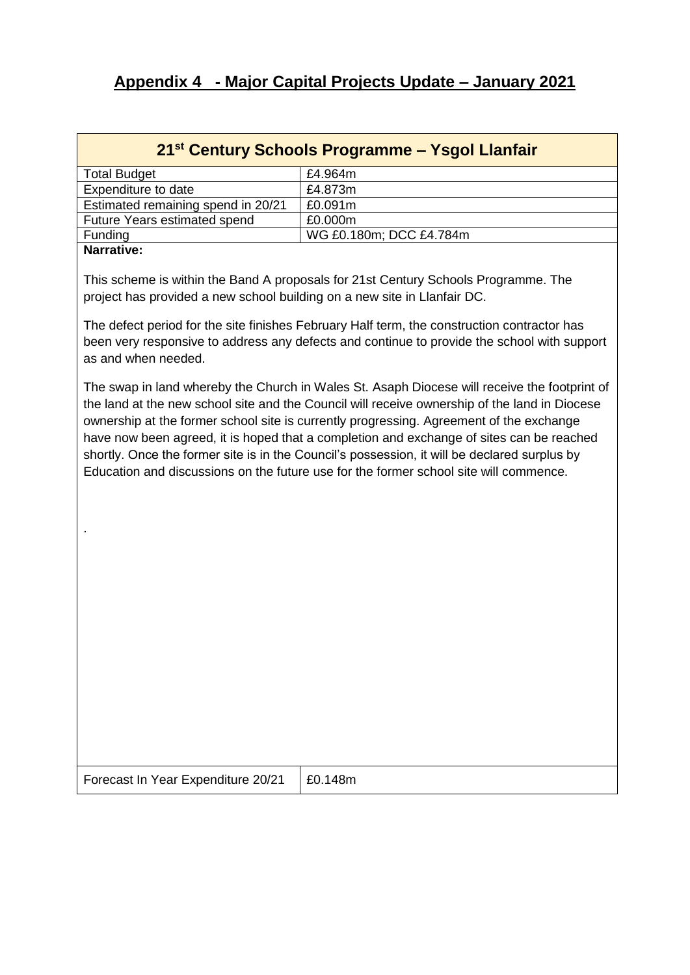# **Appendix 4 - Major Capital Projects Update – January 2021**

|                                    | 21 <sup>st</sup> Century Schools Programme - Ysgol Llanfair |
|------------------------------------|-------------------------------------------------------------|
| <b>Total Budget</b>                | £4.964m                                                     |
| Expenditure to date                | £4.873m                                                     |
| Estimated remaining spend in 20/21 | £0.091m                                                     |
| Future Years estimated spend       | £0.000m                                                     |
| Funding                            | WG £0.180m; DCC £4.784m                                     |
| Narrative:                         |                                                             |

This scheme is within the Band A proposals for 21st Century Schools Programme. The project has provided a new school building on a new site in Llanfair DC.

The defect period for the site finishes February Half term, the construction contractor has been very responsive to address any defects and continue to provide the school with support as and when needed.

The swap in land whereby the Church in Wales St. Asaph Diocese will receive the footprint of the land at the new school site and the Council will receive ownership of the land in Diocese ownership at the former school site is currently progressing. Agreement of the exchange have now been agreed, it is hoped that a completion and exchange of sites can be reached shortly. Once the former site is in the Council's possession, it will be declared surplus by Education and discussions on the future use for the former school site will commence.

.

| Forecast In Year Expenditure 20/21   £0.148m |  |
|----------------------------------------------|--|
|                                              |  |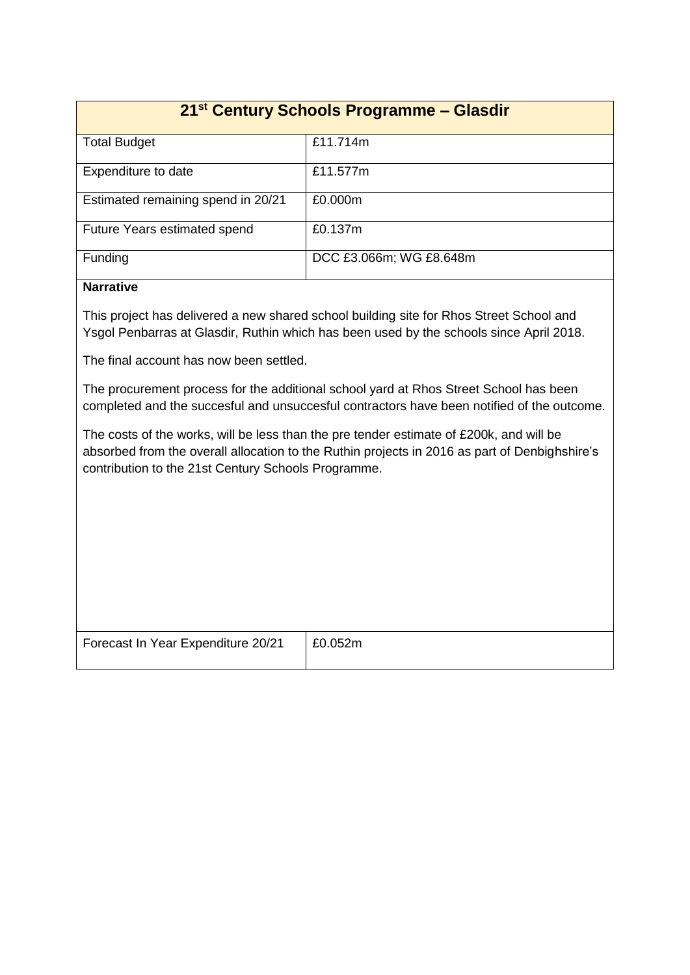# **21st Century Schools Programme – Glasdir**

| <b>Total Budget</b>                | £11.714m                |
|------------------------------------|-------------------------|
| Expenditure to date                | £11.577m                |
| Estimated remaining spend in 20/21 | £0.000m                 |
| Future Years estimated spend       | £0.137m                 |
| Funding                            | DCC £3.066m; WG £8.648m |

## **Narrative**

This project has delivered a new shared school building site for Rhos Street School and Ysgol Penbarras at Glasdir, Ruthin which has been used by the schools since April 2018.

The final account has now been settled.

The procurement process for the additional school yard at Rhos Street School has been completed and the succesful and unsuccesful contractors have been notified of the outcome.

The costs of the works, will be less than the pre tender estimate of £200k, and will be absorbed from the overall allocation to the Ruthin projects in 2016 as part of Denbighshire's contribution to the 21st Century Schools Programme.

|  | Forecast In Year Expenditure 20/21 | £0.052m |
|--|------------------------------------|---------|
|--|------------------------------------|---------|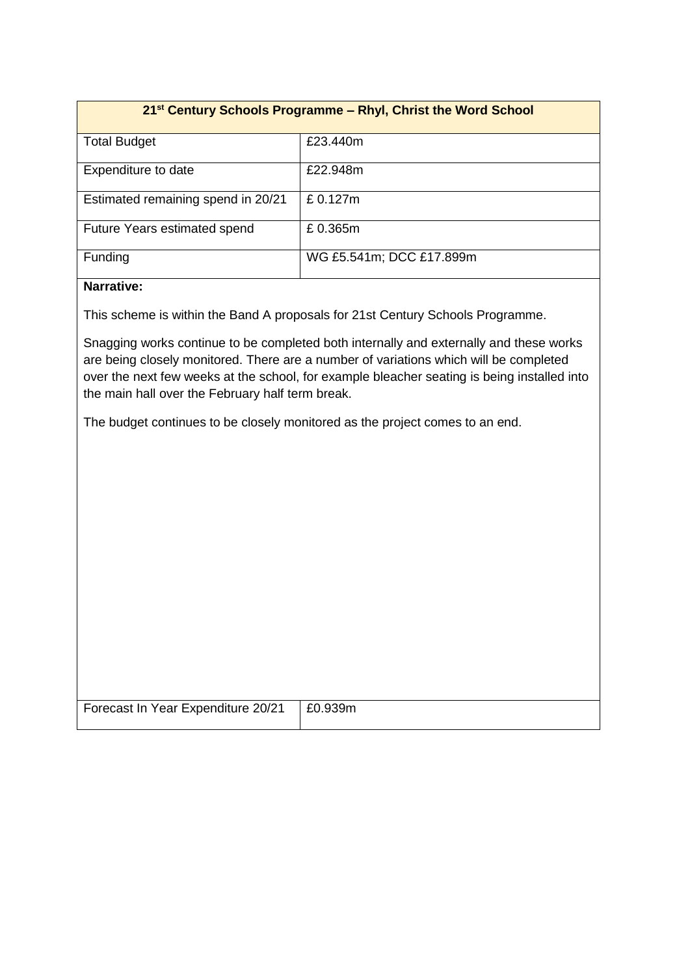|                                     | 21 <sup>st</sup> Century Schools Programme – Rhyl, Christ the Word School |
|-------------------------------------|---------------------------------------------------------------------------|
| <b>Total Budget</b>                 | £23.440m                                                                  |
| Expenditure to date                 | £22.948m                                                                  |
| Estimated remaining spend in 20/21  | £0.127m                                                                   |
| <b>Future Years estimated spend</b> | £0.365m                                                                   |
| Funding                             | WG £5.541m; DCC £17.899m                                                  |

This scheme is within the Band A proposals for 21st Century Schools Programme.

Snagging works continue to be completed both internally and externally and these works are being closely monitored. There are a number of variations which will be completed over the next few weeks at the school, for example bleacher seating is being installed into the main hall over the February half term break.

The budget continues to be closely monitored as the project comes to an end.

| Forecast In Year Expenditure 20/21   £0.939m |  |
|----------------------------------------------|--|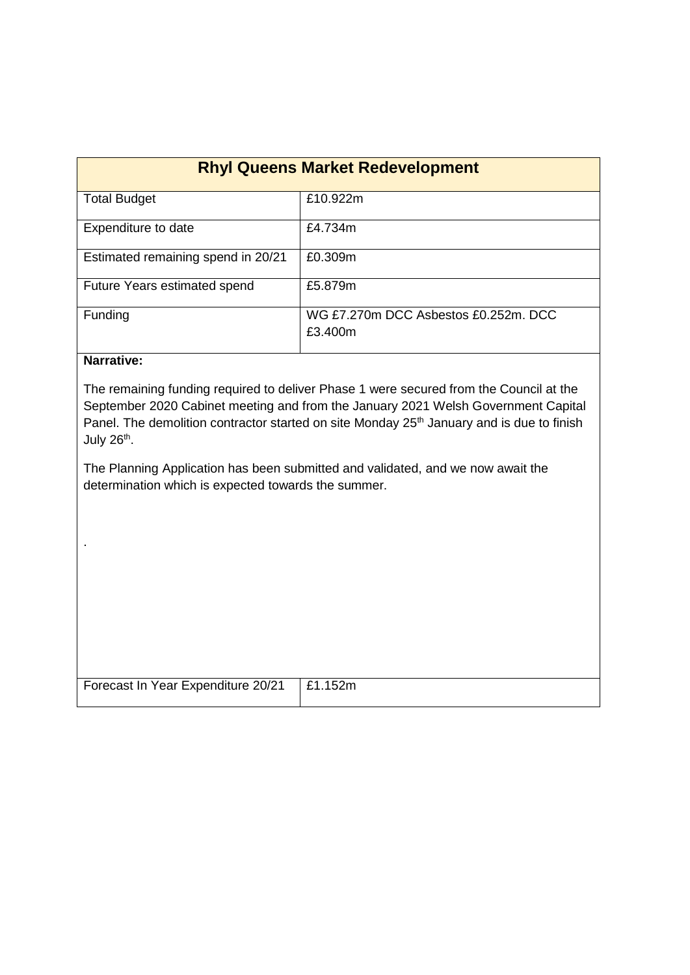|                                    | <b>Rhyl Queens Market Redevelopment</b>         |
|------------------------------------|-------------------------------------------------|
| <b>Total Budget</b>                | £10.922m                                        |
| Expenditure to date                | £4.734m                                         |
| Estimated remaining spend in 20/21 | £0.309m                                         |
| Future Years estimated spend       | £5.879m                                         |
| Funding                            | WG £7.270m DCC Asbestos £0.252m, DCC<br>£3.400m |

.

The remaining funding required to deliver Phase 1 were secured from the Council at the September 2020 Cabinet meeting and from the January 2021 Welsh Government Capital Panel. The demolition contractor started on site Monday 25<sup>th</sup> January and is due to finish July 26<sup>th</sup>.

The Planning Application has been submitted and validated, and we now await the determination which is expected towards the summer.

| Forecast In Year Expenditure $20/21$   £1.152m |  |
|------------------------------------------------|--|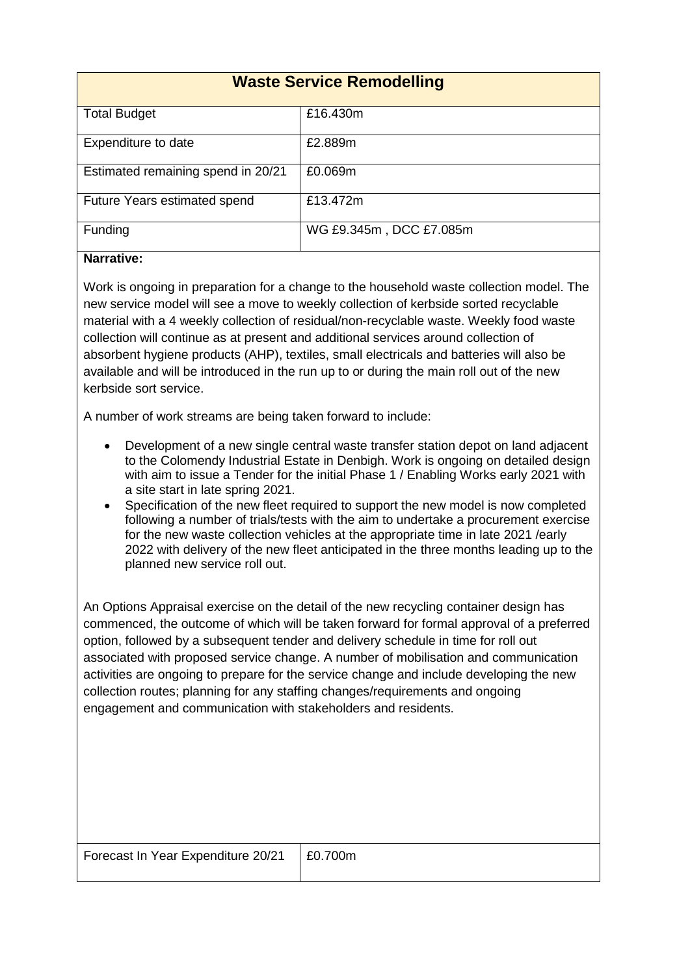|                                     | <b>Waste Service Remodelling</b> |
|-------------------------------------|----------------------------------|
| <b>Total Budget</b>                 | £16.430m                         |
| Expenditure to date                 | £2.889m                          |
| Estimated remaining spend in 20/21  | £0.069m                          |
| <b>Future Years estimated spend</b> | £13.472m                         |
| Funding                             | WG £9.345m, DCC £7.085m          |

Work is ongoing in preparation for a change to the household waste collection model. The new service model will see a move to weekly collection of kerbside sorted recyclable material with a 4 weekly collection of residual/non-recyclable waste. Weekly food waste collection will continue as at present and additional services around collection of absorbent hygiene products (AHP), textiles, small electricals and batteries will also be available and will be introduced in the run up to or during the main roll out of the new kerbside sort service.

A number of work streams are being taken forward to include:

- Development of a new single central waste transfer station depot on land adjacent to the Colomendy Industrial Estate in Denbigh. Work is ongoing on detailed design with aim to issue a Tender for the initial Phase 1 / Enabling Works early 2021 with a site start in late spring 2021.
- Specification of the new fleet required to support the new model is now completed following a number of trials/tests with the aim to undertake a procurement exercise for the new waste collection vehicles at the appropriate time in late 2021 /early 2022 with delivery of the new fleet anticipated in the three months leading up to the planned new service roll out.

An Options Appraisal exercise on the detail of the new recycling container design has commenced, the outcome of which will be taken forward for formal approval of a preferred option, followed by a subsequent tender and delivery schedule in time for roll out associated with proposed service change. A number of mobilisation and communication activities are ongoing to prepare for the service change and include developing the new collection routes; planning for any staffing changes/requirements and ongoing engagement and communication with stakeholders and residents.

| Forecast In Year Expenditure 20/21   £0.700m |  |
|----------------------------------------------|--|
|                                              |  |